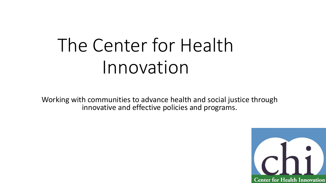# The Center for Health Innovation

Working with communities to advance health and social justice through innovative and effective policies and programs.

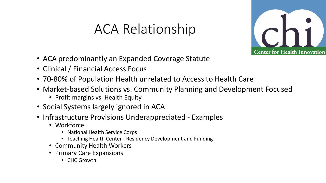### ACA Relationship



- ACA predominantly an Expanded Coverage Statute
- Clinical / Financial Access Focus
- 70-80% of Population Health unrelated to Access to Health Care
- Market-based Solutions vs. Community Planning and Development Focused
	- Profit margins vs. Health Equity
- Social Systems largely ignored in ACA
- Infrastructure Provisions Underappreciated Examples
	- Workforce
		- National Health Service Corps
		- Teaching Health Center Residency Development and Funding
	- Community Health Workers
	- Primary Care Expansions
		- CHC Growth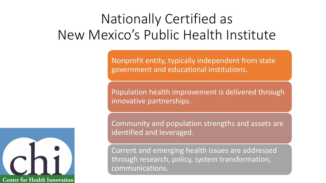## Nationally Certified as New Mexico's Public Health Institute

Nonprofit entity, typically independent from state government and educational institutions.

Population health improvement is delivered through innovative partnerships.

Community and population strengths and assets are identified and leveraged.

Current and emerging health issues are addressed through research, policy, system transformation, communications.

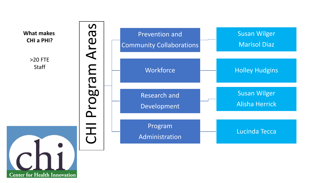

**Center for Health Innovation**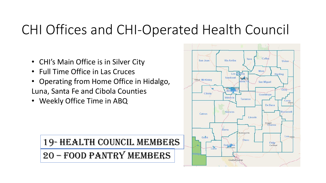### CHI Offices and CHI-Operated Health Council

- CHI's Main Office is in Silver City
- Full Time Office in Las Cruces
- Operating from Home Office in Hidalgo, Luna, Santa Fe and Cibola Counties
- Weekly Office Time in ABQ

### 19- Health Council Members 20 – Food Pantry Members

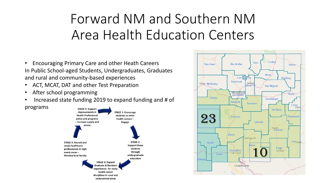## Forward NM and Southern NM Area Health Education Centers

- Encouraging Primary Care and other Heath Careers In Public School-aged Students, Undergraduates, Graduates and rural and community-based experiences
- ACT, MCAT, DAT and other Test Preparation
- After school programming
- Increased state funding 2019 to expand funding and # of



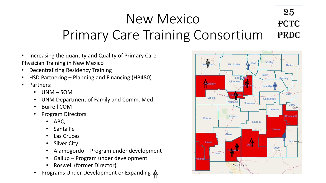#### New Mexico Primary Care Training Consortium 25 PCTC PRDC

- Increasing the quantity and Quality of Primary Care Physician Training in New Mexico
- Decentralizing Residency Training
- HSD Partnering Planning and Financing (HB480)
- Partners:
	- UNM SOM
	- UNM Department of Family and Comm. Med
	- Burrell COM
	- Program Directors
		- ABQ
		- Santa Fe
		- Las Cruces
		- **Silver City**
		- Alamogordo Program under development
		- Gallup Program under development
		- Roswell (former Director)
	- Programs Under Development or Expanding 4

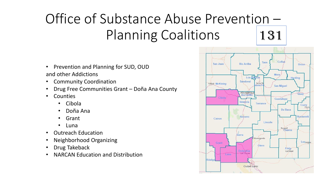# Office of Substance Abuse Prevention – Planning Coalitions 131

Colfar Taos San Juan Rio Arriba Union-Mora. Los Alamos Harding Sandoval Santa F **Gallup McKinley**  $inta$ **San Miquel** Albuquerque Bernalillo Cibola Guadalupe Valencia Torrance Curry Clovis De Baca Socorro Roosevelt Catron Lincoln Roswell<br>Chaves Sierra Alamogordo **Lea<sub>Hobbs</sub>** Grant Otero Eddy **Dena** Ana Carlsbad **Las Cruces** Hidalgo Ciudad Juárez

- Prevention and Planning for SUD, OUD and other Addictions
- Community Coordination
- Drug Free Communities Grant Doña Ana County
- Counties
	- Cibola
	- Doña Ana
	- Grant
	- Luna
- Outreach Education
- Neighborhood Organizing
- Drug Takeback
- NARCAN Education and Distribution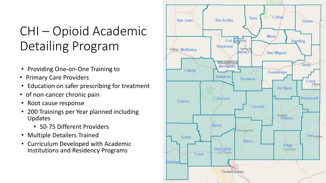### CHI – Opioid Academic Detailing Program

- Providing One-on-One Training to
- Primary Care Providers
- Education on safer prescribing for treatment
- of non-cancer chronic pain
- Root cause response
- 200 Trainings per Year planned including Updates
	- 50-75 Different Providers
- Multiple Detailers Trained
- Curriculum Developed with Academic Institutions and Residency Programs

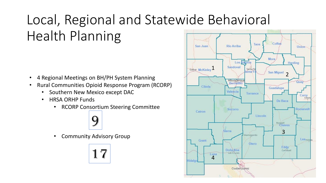# Local, Regional and Statewide Behavioral Health Planning

- 4 Regional Meetings on BH/PH System Planning
- Rural Communities Opioid Response Program (RCORP)
	- Southern New Mexico except DAC
	- HRSA ORHP Funds
		- RCORP Consortium Steering Committee



• Community Advisory Group



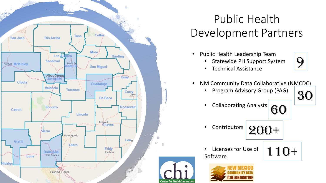

### Public Health Development Partners

- Public Health Leadership Team
	- Statewide PH Support System



- Technical Assistance
- NM Community Data Collaborative (NMCDC)
	- Program Advisory Group (PAG)



• Collaborating Analysts 60



110+

- Contributors
- 200+
- Licenses for Use of Software

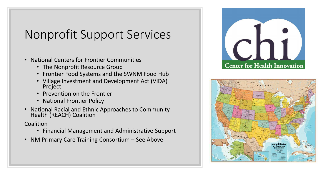### Nonprofit Support Services

- National Centers for Frontier Communities
	- The Nonprofit Resource Group
	- Frontier Food Systems and the SWNM Food Hub
	- Village Investment and Development Act (VIDA) Project
	- Prevention on the Frontier
	- National Frontier Policy
- National Racial and Ethnic Approaches to Community Health (REACH) Coalition

Coalition

- Financial Management and Administrative Support
- NM Primary Care Training Consortium See Above